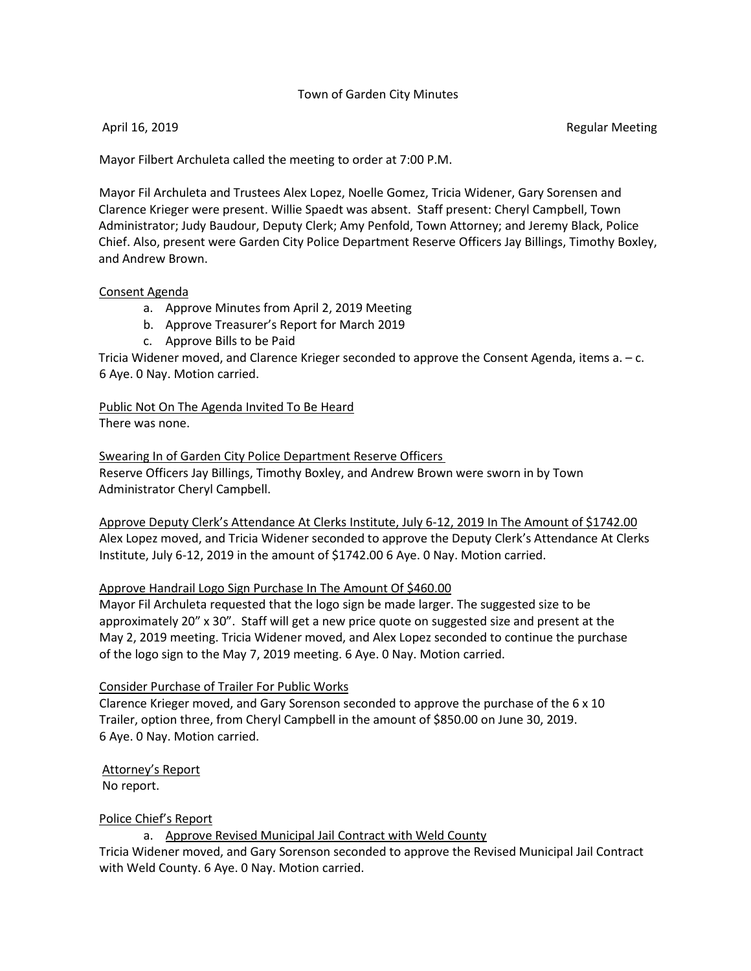## Town of Garden City Minutes

April 16, 2019 **Regular Meeting** 

Mayor Filbert Archuleta called the meeting to order at 7:00 P.M.

Mayor Fil Archuleta and Trustees Alex Lopez, Noelle Gomez, Tricia Widener, Gary Sorensen and Clarence Krieger were present. Willie Spaedt was absent. Staff present: Cheryl Campbell, Town Administrator; Judy Baudour, Deputy Clerk; Amy Penfold, Town Attorney; and Jeremy Black, Police Chief. Also, present were Garden City Police Department Reserve Officers Jay Billings, Timothy Boxley, and Andrew Brown.

#### Consent Agenda

- a. Approve Minutes from April 2, 2019 Meeting
- b. Approve Treasurer's Report for March 2019
- c. Approve Bills to be Paid

Tricia Widener moved, and Clarence Krieger seconded to approve the Consent Agenda, items a. – c. 6 Aye. 0 Nay. Motion carried.

Public Not On The Agenda Invited To Be Heard There was none.

Swearing In of Garden City Police Department Reserve Officers Reserve Officers Jay Billings, Timothy Boxley, and Andrew Brown were sworn in by Town Administrator Cheryl Campbell.

 Approve Deputy Clerk's Attendance At Clerks Institute, July 6-12, 2019 In The Amount of \$1742.00 Alex Lopez moved, and Tricia Widener seconded to approve the Deputy Clerk's Attendance At Clerks Institute, July 6-12, 2019 in the amount of \$1742.00 6 Aye. 0 Nay. Motion carried.

## Approve Handrail Logo Sign Purchase In The Amount Of \$460.00

 Mayor Fil Archuleta requested that the logo sign be made larger. The suggested size to be approximately 20" x 30". Staff will get a new price quote on suggested size and present at the May 2, 2019 meeting. Tricia Widener moved, and Alex Lopez seconded to continue the purchase of the logo sign to the May 7, 2019 meeting. 6 Aye. 0 Nay. Motion carried.

## Consider Purchase of Trailer For Public Works

 Clarence Krieger moved, and Gary Sorenson seconded to approve the purchase of the 6 x 10 Trailer, option three, from Cheryl Campbell in the amount of \$850.00 on June 30, 2019. 6 Aye. 0 Nay. Motion carried.

Attorney's Report No report.

## Police Chief's Report

a. Approve Revised Municipal Jail Contract with Weld County

 Tricia Widener moved, and Gary Sorenson seconded to approve the Revised Municipal Jail Contract with Weld County. 6 Aye. 0 Nay. Motion carried.